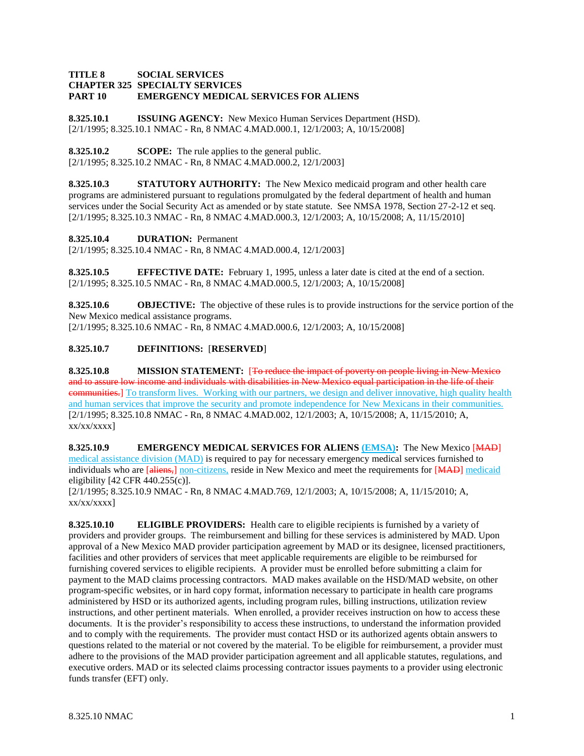#### **TITLE 8 SOCIAL SERVICES CHAPTER 325 SPECIALTY SERVICES PART 10 EMERGENCY MEDICAL SERVICES FOR ALIENS**

**8.325.10.1 ISSUING AGENCY:** New Mexico Human Services Department (HSD). [2/1/1995; 8.325.10.1 NMAC - Rn, 8 NMAC 4.MAD.000.1, 12/1/2003; A, 10/15/2008]

**8.325.10.2 SCOPE:** The rule applies to the general public. [2/1/1995; 8.325.10.2 NMAC - Rn, 8 NMAC 4.MAD.000.2, 12/1/2003]

**8.325.10.3 STATUTORY AUTHORITY:** The New Mexico medicaid program and other health care programs are administered pursuant to regulations promulgated by the federal department of health and human services under the Social Security Act as amended or by state statute. See NMSA 1978, Section 27-2-12 et seq. [2/1/1995; 8.325.10.3 NMAC - Rn, 8 NMAC 4.MAD.000.3, 12/1/2003; A, 10/15/2008; A, 11/15/2010]

**8.325.10.4 DURATION:** Permanent

[2/1/1995; 8.325.10.4 NMAC - Rn, 8 NMAC 4.MAD.000.4, 12/1/2003]

**8.325.10.5 EFFECTIVE DATE:** February 1, 1995, unless a later date is cited at the end of a section. [2/1/1995; 8.325.10.5 NMAC - Rn, 8 NMAC 4.MAD.000.5, 12/1/2003; A, 10/15/2008]

**8.325.10.6 OBJECTIVE:** The objective of these rules is to provide instructions for the service portion of the New Mexico medical assistance programs. [2/1/1995; 8.325.10.6 NMAC - Rn, 8 NMAC 4.MAD.000.6, 12/1/2003; A, 10/15/2008]

# **8.325.10.7 DEFINITIONS:** [**RESERVED**]

**8.325.10.8 MISSION STATEMENT:** [To reduce the impact of poverty on people living in New Mexico and to assure low income and individuals with disabilities in New Mexico equal participation in the life of their **communities.** To transform lives. Working with our partners, we design and deliver innovative, high quality health and human services that improve the security and promote independence for New Mexicans in their communities. [2/1/1995; 8.325.10.8 NMAC - Rn, 8 NMAC 4.MAD.002, 12/1/2003; A, 10/15/2008; A, 11/15/2010; A,  $xx/xx/xxxx$ ]

**8.325.10.9 EMERGENCY MEDICAL SERVICES FOR ALIENS (EMSA):** The New Mexico [MAD] medical assistance division (MAD) is required to pay for necessary emergency medical services furnished to individuals who are [aliens,] non-citizens, reside in New Mexico and meet the requirements for [MAD] medicaid eligibility [42 CFR 440.255(c)].

[2/1/1995; 8.325.10.9 NMAC - Rn, 8 NMAC 4.MAD.769, 12/1/2003; A, 10/15/2008; A, 11/15/2010; A,  $xx/xx/xxxx$ ]

**8.325.10.10 ELIGIBLE PROVIDERS:** Health care to eligible recipients is furnished by a variety of providers and provider groups. The reimbursement and billing for these services is administered by MAD. Upon approval of a New Mexico MAD provider participation agreement by MAD or its designee, licensed practitioners, facilities and other providers of services that meet applicable requirements are eligible to be reimbursed for furnishing covered services to eligible recipients. A provider must be enrolled before submitting a claim for payment to the MAD claims processing contractors. MAD makes available on the HSD/MAD website, on other program-specific websites, or in hard copy format, information necessary to participate in health care programs administered by HSD or its authorized agents, including program rules, billing instructions, utilization review instructions, and other pertinent materials. When enrolled, a provider receives instruction on how to access these documents. It is the provider's responsibility to access these instructions, to understand the information provided and to comply with the requirements. The provider must contact HSD or its authorized agents obtain answers to questions related to the material or not covered by the material. To be eligible for reimbursement, a provider must adhere to the provisions of the MAD provider participation agreement and all applicable statutes, regulations, and executive orders. MAD or its selected claims processing contractor issues payments to a provider using electronic funds transfer (EFT) only.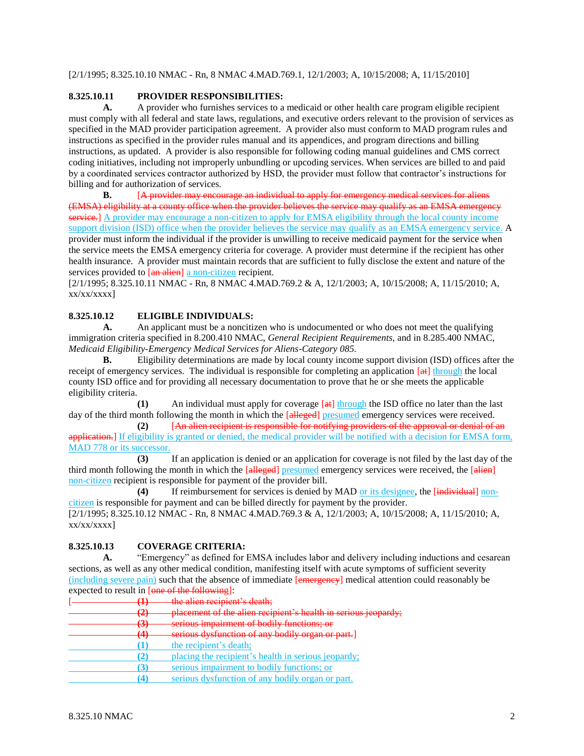[2/1/1995; 8.325.10.10 NMAC - Rn, 8 NMAC 4.MAD.769.1, 12/1/2003; A, 10/15/2008; A, 11/15/2010]

# **8.325.10.11 PROVIDER RESPONSIBILITIES:**

**A.** A provider who furnishes services to a medicaid or other health care program eligible recipient must comply with all federal and state laws, regulations, and executive orders relevant to the provision of services as specified in the MAD provider participation agreement. A provider also must conform to MAD program rules and instructions as specified in the provider rules manual and its appendices, and program directions and billing instructions, as updated. A provider is also responsible for following coding manual guidelines and CMS correct coding initiatives, including not improperly unbundling or upcoding services. When services are billed to and paid by a coordinated services contractor authorized by HSD, the provider must follow that contractor's instructions for billing and for authorization of services.

**B.** [A provider may encourage an individual to apply for emergency medical services for aliens (EMSA) eligibility at a county office when the provider believes the service may qualify as an EMSA emergency service.] A provider may encourage a non-citizen to apply for EMSA eligibility through the local county income support division (ISD) office when the provider believes the service may qualify as an EMSA emergency service. A provider must inform the individual if the provider is unwilling to receive medicaid payment for the service when the service meets the EMSA emergency criteria for coverage. A provider must determine if the recipient has other health insurance. A provider must maintain records that are sufficient to fully disclose the extent and nature of the services provided to [an alien] a non-citizen recipient.

[2/1/1995; 8.325.10.11 NMAC - Rn, 8 NMAC 4.MAD.769.2 & A, 12/1/2003; A, 10/15/2008; A, 11/15/2010; A,  $xx/xx/xxxx$ ]

## **8.325.10.12 ELIGIBLE INDIVIDUALS:**

**A.** An applicant must be a noncitizen who is undocumented or who does not meet the qualifying immigration criteria specified in 8.200.410 NMAC, *General Recipient Requirements,* and in 8.285.400 NMAC, *Medicaid Eligibility-Emergency Medical Services for Aliens-Category 085.*

**B.** Eligibility determinations are made by local county income support division (ISD) offices after the receipt of emergency services. The individual is responsible for completing an application [at] through the local county ISD office and for providing all necessary documentation to prove that he or she meets the applicable eligibility criteria.

**(1)** An individual must apply for coverage [at] through the ISD office no later than the last day of the third month following the month in which the [alleged] presumed emergency services were received.

**(2)** [An alien recipient is responsible for notifying providers of the approval or denial of an application.] If eligibility is granted or denied, the medical provider will be notified with a decision for EMSA form, MAD 778 or its successor.

**(3)** If an application is denied or an application for coverage is not filed by the last day of the third month following the month in which the [alleged] presumed emergency services were received, the [alien] non-citizen recipient is responsible for payment of the provider bill.

**(4)** If reimbursement for services is denied by MAD or its designee, the [individual] noncitizen is responsible for payment and can be billed directly for payment by the provider. [2/1/1995; 8.325.10.12 NMAC - Rn, 8 NMAC 4.MAD.769.3 & A, 12/1/2003; A, 10/15/2008; A, 11/15/2010; A, xx/xx/xxxx]

## **8.325.10.13 COVERAGE CRITERIA:**

**A.** "Emergency" as defined for EMSA includes labor and delivery including inductions and cesarean sections, as well as any other medical condition, manifesting itself with acute symptoms of sufficient severity (including severe pain) such that the absence of immediate [emergency] medical attention could reasonably be expected to result in [one of the following]:

|  | the alien recipient's death:                                   |
|--|----------------------------------------------------------------|
|  | placement of the alian reginient's health in serious isonardy. |
|  | serious impairment of bodily functions; or                     |
|  | serious dysfunction of any bodily organ or part.]              |
|  | the recipient's death;                                         |
|  | placing the recipient's health in serious jeopardy;            |
|  | serious impairment to bodily functions; or                     |
|  | serious dysfunction of any bodily organ or part.               |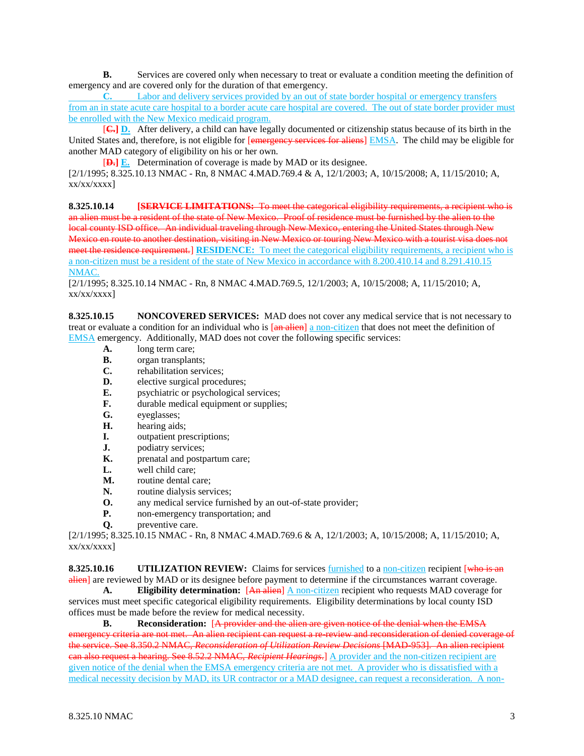**B.** Services are covered only when necessary to treat or evaluate a condition meeting the definition of emergency and are covered only for the duration of that emergency.

**C.** Labor and delivery services provided by an out of state border hospital or emergency transfers from an in state acute care hospital to a border acute care hospital are covered. The out of state border provider must be enrolled with the New Mexico medicaid program.

[**C.] D.** After delivery, a child can have legally documented or citizenship status because of its birth in the United States and, therefore, is not eligible for [emergency services for aliens] EMSA. The child may be eligible for another MAD category of eligibility on his or her own.

[**D.] E.** Determination of coverage is made by MAD or its designee.

[2/1/1995; 8.325.10.13 NMAC - Rn, 8 NMAC 4.MAD.769.4 & A, 12/1/2003; A, 10/15/2008; A, 11/15/2010; A,  $xx/xx/xxxx$ ]

**8.325.10.14 [SERVICE LIMITATIONS:** To meet the categorical eligibility requirements, a recipient who is an alien must be a resident of the state of New Mexico. Proof of residence must be furnished by the alien to the local county ISD office. An individual traveling through New Mexico, entering the United States through New Mexico en route to another destination, visiting in New Mexico or touring New Mexico with a tourist visa does not meet the residence requirement.] **RESIDENCE:** To meet the categorical eligibility requirements, a recipient who is a non-citizen must be a resident of the state of New Mexico in accordance with 8.200.410.14 and 8.291.410.15 NMAC.

[2/1/1995; 8.325.10.14 NMAC - Rn, 8 NMAC 4.MAD.769.5, 12/1/2003; A, 10/15/2008; A, 11/15/2010; A,  $xx/xx/xxxx$ ]

**8.325.10.15 NONCOVERED SERVICES:** MAD does not cover any medical service that is not necessary to treat or evaluate a condition for an individual who is  $\frac{a_n}{b_n}$  a non-citizen that does not meet the definition of EMSA emergency. Additionally, MAD does not cover the following specific services:

- **A.** long term care;
- **B.** organ transplants;
- **C.** rehabilitation services;
- **D.** elective surgical procedures;
- **E.** psychiatric or psychological services;
- **F.** durable medical equipment or supplies;
- **G.** eyeglasses;
- **H.** hearing aids;
- **I.** outpatient prescriptions;
- **J.** podiatry services;
- **K.** prenatal and postpartum care:
- **L.** well child care;
- **M.** routine dental care;
- **N.** routine dialysis services;
- **O.** any medical service furnished by an out-of-state provider;
- **P.** non-emergency transportation; and
- **Q.** preventive care.

[2/1/1995; 8.325.10.15 NMAC - Rn, 8 NMAC 4.MAD.769.6 & A, 12/1/2003; A, 10/15/2008; A, 11/15/2010; A,  $xx/xx/xxxx$ ]

**8.325.10.16 UTILIZATION REVIEW:** Claims for services furnished to a non-citizen recipient [who is an alien] are reviewed by MAD or its designee before payment to determine if the circumstances warrant coverage.

**A. Eligibility determination:** [An alien] A non-citizen recipient who requests MAD coverage for services must meet specific categorical eligibility requirements. Eligibility determinations by local county ISD offices must be made before the review for medical necessity.

**B. Reconsideration:** [A provider and the alien are given notice of the denial when the EMSA emergency criteria are not met. An alien recipient can request a re-review and reconsideration of denied coverage of the service. See 8.350.2 NMAC, *Reconsideration of Utilization Review Decisions* [MAD-953]. An alien recipient can also request a hearing. See 8.52.2 NMAC, *Recipient Hearings*.] A provider and the non-citizen recipient are given notice of the denial when the EMSA emergency criteria are not met. A provider who is dissatisfied with a medical necessity decision by MAD, its UR contractor or a MAD designee, can request a reconsideration. A non